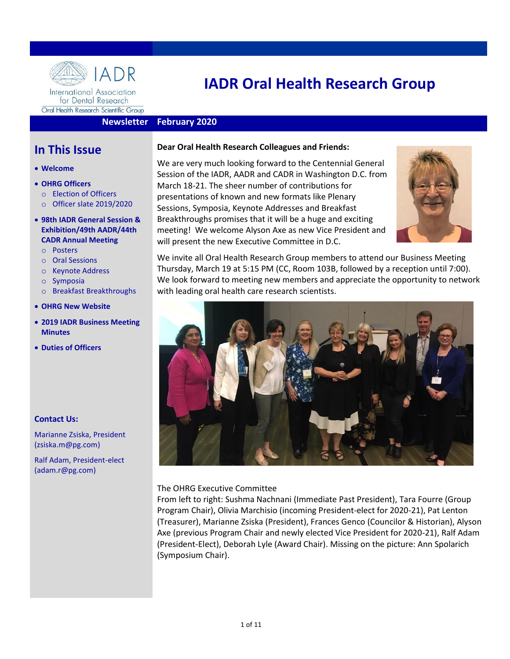

for Dental Research Oral Health Research Scientific Group

# **IADR Oral Health Research Group**

#### **Newsletter February 2020**

## **In This Issue**

- **Welcome**
- **OHRG Officer[s](#page-1-0)**
	- o [Election of Officers](#page-1-0)
	- o Officer slate [2019/2020](#page-1-1)
- **[98th IADR General Session &](#page-1-2)  [Exhibition/49th AADR/44th](#page-1-2) [CADR Annual Meeting](#page-1-2)**
	- o Posters
	- o Oral Sessions
	- o Keynote Address
	- o Symposia
	- o Breakfast Breakthroughs
- **[OHRG New Website](#page-3-0)**
- **[2019 IADR Business Meeting](#page-3-1)  [Minutes](#page-3-1)**
- **Duties [of Officers](#page-7-0)**

#### **Contact Us:**

Marianne Zsiska, President (zsiska.m@pg.com)

Ralf Adam, President-elect (adam.r@pg.com)

#### **Dear Oral Health Research Colleagues and Friends:**

We are very much looking forward to the Centennial General Session of the IADR, AADR and CADR in Washington D.C. from March 18-21. The sheer number of contributions for presentations of known and new formats like Plenary Sessions, Symposia, Keynote Addresses and Breakfast Breakthroughs promises that it will be a huge and exciting meeting! We welcome Alyson Axe as new Vice President and will present the new Executive Committee in D.C.



We invite all Oral Health Research Group members to attend our Business Meeting Thursday, March 19 at 5:15 PM (CC, Room 103B, followed by a reception until 7:00). We look forward to meeting new members and appreciate the opportunity to network with leading oral health care research scientists.



#### The OHRG Executive Committee

From left to right: Sushma Nachnani (Immediate Past President), Tara Fourre (Group Program Chair), Olivia Marchisio (incoming President-elect for 2020-21), Pat Lenton (Treasurer), Marianne Zsiska (President), Frances Genco (Councilor & Historian), Alyson Axe (previous Program Chair and newly elected Vice President for 2020-21), Ralf Adam (President-Elect), Deborah Lyle (Award Chair). Missing on the picture: Ann Spolarich (Symposium Chair).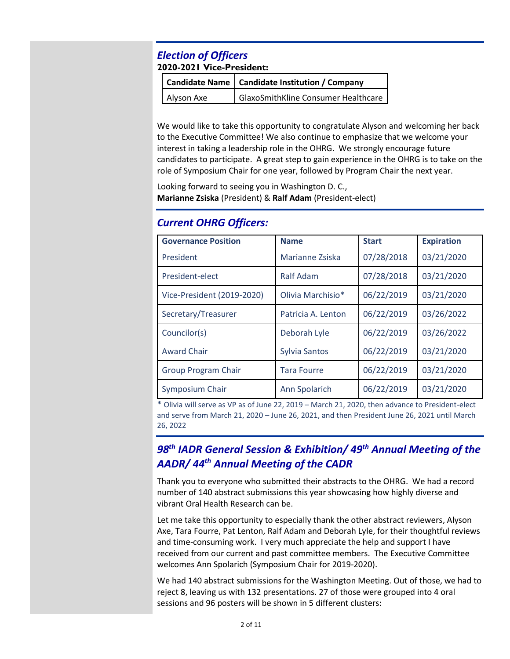## <span id="page-1-0"></span>*Election of Officers* **2020-2021 Vice-President:**

|            | Candidate Name   Candidate Institution / Company |  |
|------------|--------------------------------------------------|--|
| Alyson Axe | GlaxoSmithKline Consumer Healthcare              |  |

We would like to take this opportunity to congratulate Alyson and welcoming her back to the Executive Committee! We also continue to emphasize that we welcome your interest in taking a leadership role in the OHRG. We strongly encourage future candidates to participate. A great step to gain experience in the OHRG is to take on the role of Symposium Chair for one year, followed by Program Chair the next year.

Looking forward to seeing you in Washington D. C., **Marianne Zsiska** (President) & **Ralf Adam** (President-elect)

## <span id="page-1-1"></span>*Current OHRG Officers:*

| <b>Governance Position</b> | <b>Name</b>          | <b>Start</b> | <b>Expiration</b> |
|----------------------------|----------------------|--------------|-------------------|
| President                  | Marianne Zsiska      | 07/28/2018   | 03/21/2020        |
| President-elect            | <b>Ralf Adam</b>     | 07/28/2018   | 03/21/2020        |
| Vice-President (2019-2020) | Olivia Marchisio*    | 06/22/2019   | 03/21/2020        |
| Secretary/Treasurer        | Patricia A. Lenton   | 06/22/2019   | 03/26/2022        |
| Councilor(s)               | Deborah Lyle         | 06/22/2019   | 03/26/2022        |
| <b>Award Chair</b>         | <b>Sylvia Santos</b> | 06/22/2019   | 03/21/2020        |
| <b>Group Program Chair</b> | <b>Tara Fourre</b>   | 06/22/2019   | 03/21/2020        |
| Symposium Chair            | Ann Spolarich        | 06/22/2019   | 03/21/2020        |

\* Olivia will serve as VP as of June 22, 2019 – March 21, 2020, then advance to President-elect and serve from March 21, 2020 – June 26, 2021, and then President June 26, 2021 until March 26, 2022

## <span id="page-1-2"></span>*98 th IADR General Session & Exhibition/ 49 th Annual Meeting of the AADR/ 44 th Annual Meeting of the CADR*

Thank you to everyone who submitted their abstracts to the OHRG. We had a record number of 140 abstract submissions this year showcasing how highly diverse and vibrant Oral Health Research can be.

Let me take this opportunity to especially thank the other abstract reviewers, Alyson Axe, Tara Fourre, Pat Lenton, Ralf Adam and Deborah Lyle, for their thoughtful reviews and time-consuming work. I very much appreciate the help and support I have received from our current and past committee members. The Executive Committee welcomes Ann Spolarich (Symposium Chair for 2019-2020).

We had 140 abstract submissions for the Washington Meeting. Out of those, we had to reject 8, leaving us with 132 presentations. 27 of those were grouped into 4 oral sessions and 96 posters will be shown in 5 different clusters: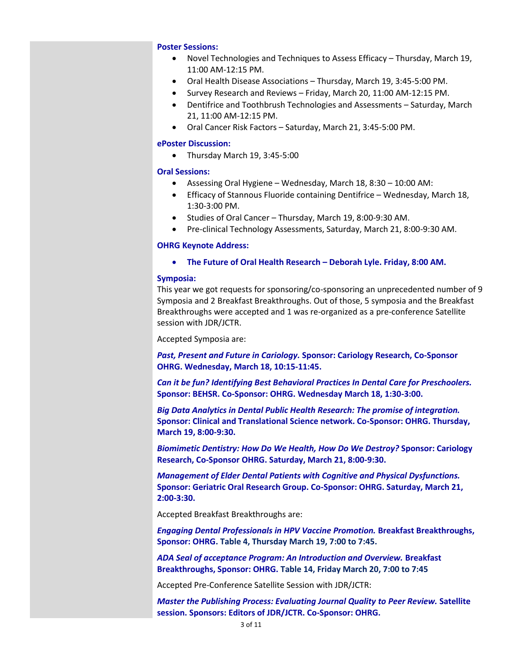#### **Poster Sessions:**

- Novel Technologies and Techniques to Assess Efficacy Thursday, March 19, 11:00 AM-12:15 PM.
- Oral Health Disease Associations Thursday, March 19, 3:45-5:00 PM.
- Survey Research and Reviews Friday, March 20, 11:00 AM-12:15 PM.
- Dentifrice and Toothbrush Technologies and Assessments Saturday, March 21, 11:00 AM-12:15 PM.
- Oral Cancer Risk Factors Saturday, March 21, 3:45-5:00 PM.

#### **ePoster Discussion:**

• Thursday March 19, 3:45-5:00

#### **Oral Sessions:**

- Assessing Oral Hygiene Wednesday, March 18, 8:30 10:00 AM:
- Efficacy of Stannous Fluoride containing Dentifrice Wednesday, March 18, 1:30-3:00 PM.
- Studies of Oral Cancer Thursday, March 19, 8:00-9:30 AM.
- Pre-clinical Technology Assessments, Saturday, March 21, 8:00-9:30 AM.

#### **OHRG Keynote Address:**

• **The Future of Oral Health Research – Deborah Lyle. Friday, 8:00 AM.**

#### **Symposia:**

This year we got requests for sponsoring/co-sponsoring an unprecedented number of 9 Symposia and 2 Breakfast Breakthroughs. Out of those, 5 symposia and the Breakfast Breakthroughs were accepted and 1 was re-organized as a pre-conference Satellite session with JDR/JCTR.

Accepted Symposia are:

*Past, Present and Future in Cariology.* **Sponsor: Cariology Research, Co-Sponsor OHRG. Wednesday, March 18, 10:15-11:45.**

*Can it be fun? Identifying Best Behavioral Practices In Dental Care for Preschoolers.*  **Sponsor: BEHSR. Co-Sponsor: OHRG. Wednesday March 18, 1:30-3:00.**

*Big Data Analytics in Dental Public Health Research: The promise of integration.*  **Sponsor: Clinical and Translational Science network. Co-Sponsor: OHRG. Thursday, March 19, 8:00-9:30.**

*Biomimetic Dentistry: How Do We Health, How Do We Destroy?* **Sponsor: Cariology Research, Co-Sponsor OHRG. Saturday, March 21, 8:00-9:30.**

*Management of Elder Dental Patients with Cognitive and Physical Dysfunctions.*  **Sponsor: Geriatric Oral Research Group. Co-Sponsor: OHRG. Saturday, March 21, 2:00-3:30.**

Accepted Breakfast Breakthroughs are:

*Engaging Dental Professionals in HPV Vaccine Promotion.* **Breakfast Breakthroughs, Sponsor: OHRG. Table 4, Thursday March 19, 7:00 to 7:45.** 

*ADA Seal of acceptance Program: An Introduction and Overview.* **Breakfast Breakthroughs, Sponsor: OHRG. Table 14, Friday March 20, 7:00 to 7:45**

Accepted Pre-Conference Satellite Session with JDR/JCTR:

*Master the Publishing Process: Evaluating Journal Quality to Peer Review.* **Satellite session. Sponsors: Editors of JDR/JCTR. Co-Sponsor: OHRG.**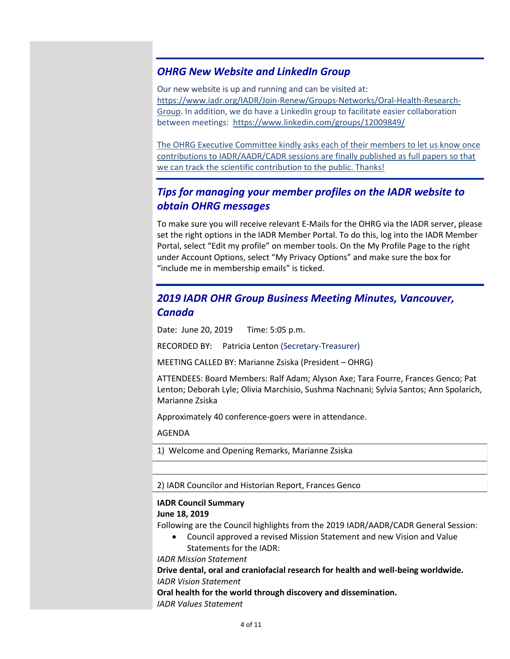## <span id="page-3-0"></span>*OHRG New Website and LinkedIn Group*

Our new website is up and running and can be visited at: [https://www.iadr.org/IADR/Join-Renew/Groups-Networks/Oral-Health-Research-](https://www.iadr.org/IADR/Join-Renew/Groups-Networks/Oral-Health-Research-Group)[Group.](https://www.iadr.org/IADR/Join-Renew/Groups-Networks/Oral-Health-Research-Group) In addition, we do have a LinkedIn group to facilitate easier collaboration between meetings: https://www.linkedin.com/groups/12009849/

The OHRG Executive Committee kindly asks each of their members to let us know once contributions to IADR/AADR/CADR sessions are finally published as full papers so that we can track the scientific contribution to the public. Thanks!

## *Tips for managing your member profiles on the IADR website to obtain OHRG messages*

To make sure you will receive relevant E-Mails for the OHRG via the IADR server, please set the right options in the IADR Member Portal. To do this, log into the IADR Member Portal, select "Edit my profile" on member tools. On the My Profile Page to the right under Account Options, select "My Privacy Options" and make sure the box for "include me in membership emails" is ticked.

## <span id="page-3-1"></span>*2019 IADR OHR Group Business Meeting Minutes, Vancouver, Canada*

Date: June 20, 2019 Time: 5:05 p.m.

RECORDED BY: Patricia Lenton (Secretary-Treasurer)

MEETING CALLED BY: Marianne Zsiska (President – OHRG)

ATTENDEES: Board Members: Ralf Adam; Alyson Axe; Tara Fourre, Frances Genco; Pat Lenton; Deborah Lyle; Olivia Marchisio, Sushma Nachnani; Sylvia Santos; Ann Spolarich, Marianne Zsiska

Approximately 40 conference-goers were in attendance.

AGENDA

1) Welcome and Opening Remarks, Marianne Zsiska

2) IADR Councilor and Historian Report, Frances Genco

### **IADR Council Summary**

#### **June 18, 2019**

Following are the Council highlights from the 2019 IADR/AADR/CADR General Session:

• Council approved a revised Mission Statement and new Vision and Value Statements for the IADR:

*IADR Mission Statement*

**Drive dental, oral and craniofacial research for health and well-being worldwide.** *IADR Vision Statement*

**Oral health for the world through discovery and dissemination.** *IADR Values Statement*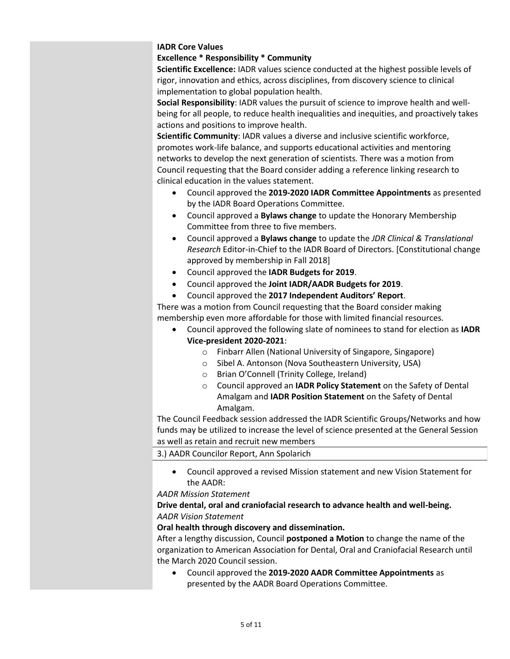#### **IADR Core Values**

#### **Excellence \* Responsibility \* Community**

**Scientific Excellence:** IADR values science conducted at the highest possible levels of rigor, innovation and ethics, across disciplines, from discovery science to clinical implementation to global population health.

**Social Responsibility**: IADR values the pursuit of science to improve health and wellbeing for all people, to reduce health inequalities and inequities, and proactively takes actions and positions to improve health.

**Scientific Community**: IADR values a diverse and inclusive scientific workforce, promotes work-life balance, and supports educational activities and mentoring networks to develop the next generation of scientists*.* There was a motion from Council requesting that the Board consider adding a reference linking research to clinical education in the values statement.

- Council approved the **2019-2020 IADR Committee Appointments** as presented by the IADR Board Operations Committee.
- Council approved a **Bylaws change** to update the Honorary Membership Committee from three to five members.
- Council approved a **Bylaws change** to update the *JDR Clinical & Translational Research* Editor-in-Chief to the IADR Board of Directors. [Constitutional change approved by membership in Fall 2018]
- Council approved the **IADR Budgets for 2019**.
- Council approved the **Joint IADR/AADR Budgets for 2019**.
- Council approved the **2017 Independent Auditors' Report**.

There was a motion from Council requesting that the Board consider making membership even more affordable for those with limited financial resources.

- Council approved the following slate of nominees to stand for election as **IADR Vice-president 2020-2021**:
	- o Finbarr Allen (National University of Singapore, Singapore)
	- o Sibel A. Antonson (Nova Southeastern University, USA)
	- o Brian O'Connell (Trinity College, Ireland)
	- o Council approved an **IADR Policy Statement** on the Safety of Dental Amalgam and **IADR Position Statement** on the Safety of Dental Amalgam.

The Council Feedback session addressed the IADR Scientific Groups/Networks and how funds may be utilized to increase the level of science presented at the General Session as well as retain and recruit new members

3.) AADR Councilor Report, Ann Spolarich

• Council approved a revised Mission statement and new Vision Statement for the AADR:

*AADR Mission Statement*

#### **Drive dental, oral and craniofacial research to advance health and well-being.** *AADR Vision Statement*

#### **Oral health through discovery and dissemination.**

After a lengthy discussion, Council **postponed a Motion** to change the name of the organization to American Association for Dental, Oral and Craniofacial Research until the March 2020 Council session.

• Council approved the **2019-2020 AADR Committee Appointments** as presented by the AADR Board Operations Committee.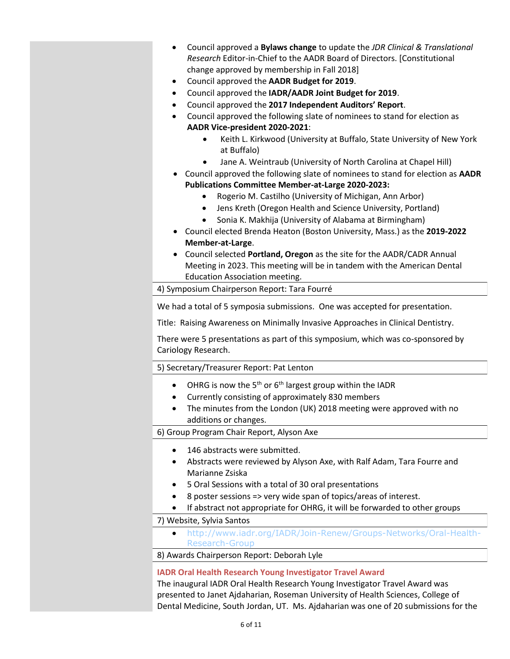- Council approved a **Bylaws change** to update the *JDR Clinical & Translational Research* Editor-in-Chief to the AADR Board of Directors. [Constitutional change approved by membership in Fall 2018]
- Council approved the **AADR Budget for 2019**.
- Council approved the **IADR/AADR Joint Budget for 2019**.
- Council approved the **2017 Independent Auditors' Report**.
- Council approved the following slate of nominees to stand for election as **AADR Vice-president 2020-2021**:
	- Keith L. Kirkwood (University at Buffalo, State University of New York at Buffalo)
	- Jane A. Weintraub (University of North Carolina at Chapel Hill)
- Council approved the following slate of nominees to stand for election as **AADR Publications Committee Member-at-Large 2020-2023:**
	- Rogerio M. Castilho (University of Michigan, Ann Arbor)
	- Jens Kreth (Oregon Health and Science University, Portland)
	- Sonia K. Makhija (University of Alabama at Birmingham)
- Council elected Brenda Heaton (Boston University, Mass.) as the **2019-2022 Member-at-Large**.
- Council selected **Portland, Oregon** as the site for the AADR/CADR Annual Meeting in 2023. This meeting will be in tandem with the American Dental Education Association meeting.

4) Symposium Chairperson Report: Tara Fourré

We had a total of 5 symposia submissions. One was accepted for presentation.

Title: Raising Awareness on Minimally Invasive Approaches in Clinical Dentistry.

There were 5 presentations as part of this symposium, which was co-sponsored by Cariology Research.

#### 5) Secretary/Treasurer Report: Pat Lenton

- OHRG is now the 5<sup>th</sup> or 6<sup>th</sup> largest group within the IADR
- Currently consisting of approximately 830 members
- The minutes from the London (UK) 2018 meeting were approved with no additions or changes.

6) Group Program Chair Report, Alyson Axe

- 146 abstracts were submitted.
- Abstracts were reviewed by Alyson Axe, with Ralf Adam, Tara Fourre and Marianne Zsiska
- 5 Oral Sessions with a total of 30 oral presentations
- 8 poster sessions => very wide span of topics/areas of interest.
- If abstract not appropriate for OHRG, it will be forwarded to other groups

7) Website, Sylvia Santos

• [http://www.iadr.org/IADR/Join-Renew/Groups-Networks/Oral-Health-](http://www.iadr.org/IADR/Join-Renew/Groups-Networks/Oral-Health-Research-Group)[Research-Group](http://www.iadr.org/IADR/Join-Renew/Groups-Networks/Oral-Health-Research-Group)

8) Awards Chairperson Report: Deborah Lyle

#### **IADR Oral Health Research Young Investigator Travel Award**

The inaugural IADR Oral Health Research Young Investigator Travel Award was presented to Janet Ajdaharian, Roseman University of Health Sciences, College of Dental Medicine, South Jordan, UT. Ms. Ajdaharian was one of 20 submissions for the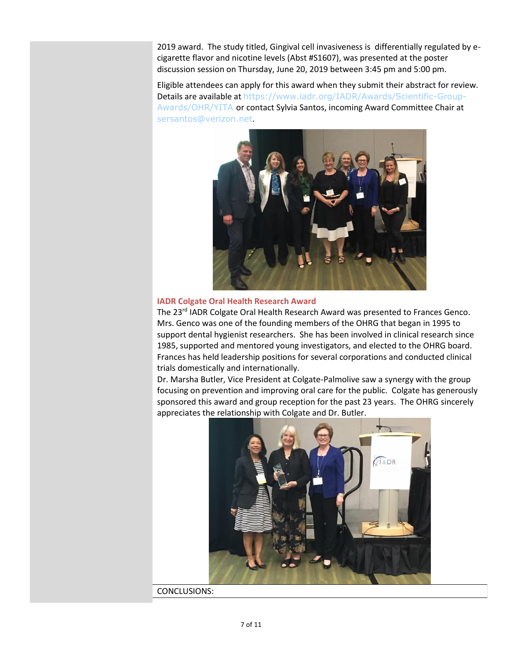2019 award. The study titled, Gingival cell invasiveness is differentially regulated by ecigarette flavor and nicotine levels (Abst #S1607), was presented at the poster discussion session on Thursday, June 20, 2019 between 3:45 pm and 5:00 pm.

Eligible attendees can apply for this award when they submit their abstract for review. Details are available at [https://www.iadr.org/IADR/Awards/Scientific-Group-](https://www.iadr.org/IADR/Awards/Scientific-Group-Awards/OHR/YITA)[Awards/OHR/YITA](https://www.iadr.org/IADR/Awards/Scientific-Group-Awards/OHR/YITA) or contact Sylvia Santos, incoming Award Committee Chair at [sersantos@verizon.net](mailto:sersantos@verizon.net).



#### **IADR Colgate Oral Health Research Award**

The 23<sup>rd</sup> IADR Colgate Oral Health Research Award was presented to Frances Genco. Mrs. Genco was one of the founding members of the OHRG that began in 1995 to support dental hygienist researchers. She has been involved in clinical research since 1985, supported and mentored young investigators, and elected to the OHRG board. Frances has held leadership positions for several corporations and conducted clinical trials domestically and internationally.

Dr. Marsha Butler, Vice President at Colgate-Palmolive saw a synergy with the group focusing on prevention and improving oral care for the public. Colgate has generously sponsored this award and group reception for the past 23 years. The OHRG sincerely appreciates the relationship with Colgate and Dr. Butler.



CONCLUSIONS: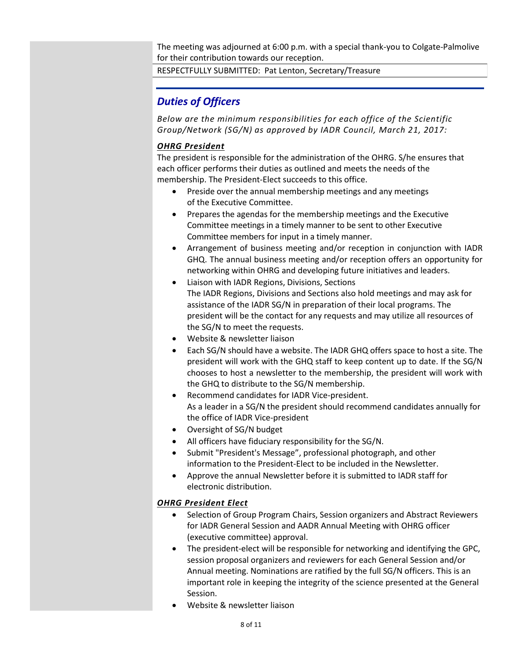The meeting was adjourned at 6:00 p.m. with a special thank-you to Colgate-Palmolive for their contribution towards our reception.

RESPECTFULLY SUBMITTED: Pat Lenton, Secretary/Treasure

## <span id="page-7-0"></span>*Duties of Officers*

*Below are the minimum responsibilities for each office of the Scientific Group/Network (SG/N) as approved by IADR Council, March 21, 2017:*

#### *OHRG President*

The president is responsible for the administration of the OHRG. S/he ensures that each officer performs their duties as outlined and meets the needs of the membership. The President-Elect succeeds to this office.

- Preside over the annual membership meetings and any meetings of the Executive Committee.
- Prepares the agendas for the membership meetings and the Executive Committee meetings in a timely manner to be sent to other Executive Committee members for input in a timely manner.
- Arrangement of business meeting and/or reception in conjunction with IADR GHQ. The annual business meeting and/or reception offers an opportunity for networking within OHRG and developing future initiatives and leaders.
- Liaison with IADR Regions, Divisions, Sections The IADR Regions, Divisions and Sections also hold meetings and may ask for assistance of the IADR SG/N in preparation of their local programs. The president will be the contact for any requests and may utilize all resources of the SG/N to meet the requests.
- Website & newsletter liaison
- Each SG/N should have a website. The IADR GHQ offers space to host a site. The president will work with the GHQ staff to keep content up to date. If the SG/N chooses to host a newsletter to the membership, the president will work with the GHQ to distribute to the SG/N membership.
- Recommend candidates for IADR Vice-president. As a leader in a SG/N the president should recommend candidates annually for the office of IADR Vice-president
- Oversight of SG/N budget
- All officers have fiduciary responsibility for the SG/N.
- Submit "President's Message", professional photograph, and other information to the President-Elect to be included in the Newsletter.
- Approve the annual Newsletter before it is submitted to IADR staff for electronic distribution.

#### *OHRG President Elect*

- Selection of Group Program Chairs, Session organizers and Abstract Reviewers for IADR General Session and AADR Annual Meeting with OHRG officer (executive committee) approval.
- The president-elect will be responsible for networking and identifying the GPC, session proposal organizers and reviewers for each General Session and/or Annual meeting. Nominations are ratified by the full SG/N officers. This is an important role in keeping the integrity of the science presented at the General Session.
- Website & newsletter liaison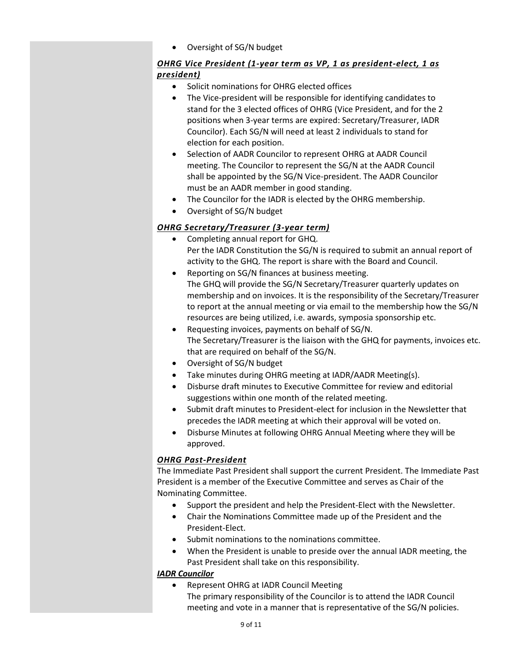• Oversight of SG/N budget

#### *OHRG Vice President (1-year term as VP, 1 as president-elect, 1 as president)*

- Solicit nominations for OHRG elected offices
- The Vice-president will be responsible for identifying candidates to stand for the 3 elected offices of OHRG (Vice President, and for the 2 positions when 3-year terms are expired: Secretary/Treasurer, IADR Councilor). Each SG/N will need at least 2 individuals to stand for election for each position.
- Selection of AADR Councilor to represent OHRG at AADR Council meeting. The Councilor to represent the SG/N at the AADR Council shall be appointed by the SG/N Vice-president. The AADR Councilor must be an AADR member in good standing.
- The Councilor for the IADR is elected by the OHRG membership.
- Oversight of SG/N budget

#### *OHRG Secretary/Treasurer (3-year term)*

- Completing annual report for GHQ. Per the IADR Constitution the SG/N is required to submit an annual report of activity to the GHQ. The report is share with the Board and Council.
- Reporting on SG/N finances at business meeting. The GHQ will provide the SG/N Secretary/Treasurer quarterly updates on membership and on invoices. It is the responsibility of the Secretary/Treasurer to report at the annual meeting or via email to the membership how the SG/N resources are being utilized, i.e. awards, symposia sponsorship etc.
- Requesting invoices, payments on behalf of SG/N. The Secretary/Treasurer is the liaison with the GHQ for payments, invoices etc. that are required on behalf of the SG/N.
- Oversight of SG/N budget
- Take minutes during OHRG meeting at IADR/AADR Meeting(s).
- Disburse draft minutes to Executive Committee for review and editorial suggestions within one month of the related meeting.
- Submit draft minutes to President-elect for inclusion in the Newsletter that precedes the IADR meeting at which their approval will be voted on.
- Disburse Minutes at following OHRG Annual Meeting where they will be approved.

#### *OHRG Past-President*

The Immediate Past President shall support the current President. The Immediate Past President is a member of the Executive Committee and serves as Chair of the Nominating Committee.

- Support the president and help the President-Elect with the Newsletter.
- Chair the Nominations Committee made up of the President and the President-Elect.
- Submit nominations to the nominations committee.
- When the President is unable to preside over the annual IADR meeting, the Past President shall take on this responsibility.

#### *IADR Councilor*

• Represent OHRG at IADR Council Meeting

The primary responsibility of the Councilor is to attend the IADR Council meeting and vote in a manner that is representative of the SG/N policies.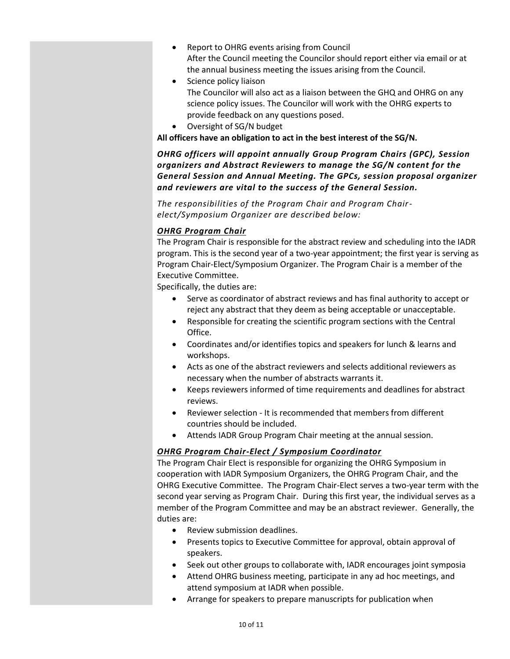- Report to OHRG events arising from Council After the Council meeting the Councilor should report either via email or at the annual business meeting the issues arising from the Council.
- Science policy liaison The Councilor will also act as a liaison between the GHQ and OHRG on any science policy issues. The Councilor will work with the OHRG experts to provide feedback on any questions posed.
- Oversight of SG/N budget

**All officers have an obligation to act in the best interest of the SG/N.**

*OHRG officers will appoint annually Group Program Chairs (GPC), Session organizers and Abstract Reviewers to manage the SG/N content for the General Session and Annual Meeting. The GPCs, session proposal organizer and reviewers are vital to the success of the General Session.* 

*The responsibilities of the Program Chair and Program Chairelect/Symposium Organizer are described below:*

#### *OHRG Program Chair*

The Program Chair is responsible for the abstract review and scheduling into the IADR program. This is the second year of a two-year appointment; the first year is serving as Program Chair-Elect/Symposium Organizer. The Program Chair is a member of the Executive Committee.

Specifically, the duties are:

- Serve as coordinator of abstract reviews and has final authority to accept or reject any abstract that they deem as being acceptable or unacceptable.
- Responsible for creating the scientific program sections with the Central Office.
- Coordinates and/or identifies topics and speakers for lunch & learns and workshops.
- Acts as one of the abstract reviewers and selects additional reviewers as necessary when the number of abstracts warrants it.
- Keeps reviewers informed of time requirements and deadlines for abstract reviews.
- Reviewer selection It is recommended that members from different countries should be included.
- Attends IADR Group Program Chair meeting at the annual session.

#### *OHRG Program Chair-Elect / Symposium Coordinator*

The Program Chair Elect is responsible for organizing the OHRG Symposium in cooperation with IADR Symposium Organizers, the OHRG Program Chair, and the OHRG Executive Committee. The Program Chair-Elect serves a two-year term with the second year serving as Program Chair. During this first year, the individual serves as a member of the Program Committee and may be an abstract reviewer. Generally, the duties are:

- Review submission deadlines.
- Presents topics to Executive Committee for approval, obtain approval of speakers.
- Seek out other groups to collaborate with, IADR encourages joint symposia
- Attend OHRG business meeting, participate in any ad hoc meetings, and attend symposium at IADR when possible.
- Arrange for speakers to prepare manuscripts for publication when